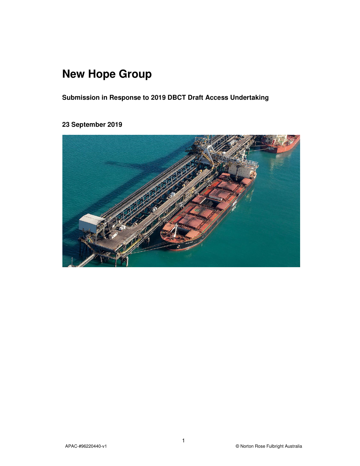# **New Hope Group**

**Submission in Response to 2019 DBCT Draft Access Undertaking** 

# **23 September 2019**

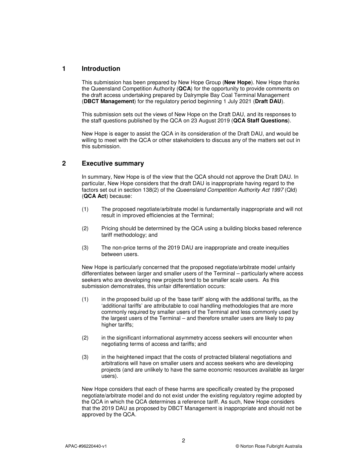## **1 Introduction**

This submission has been prepared by New Hope Group (**New Hope**). New Hope thanks the Queensland Competition Authority (**QCA**) for the opportunity to provide comments on the draft access undertaking prepared by Dalrymple Bay Coal Terminal Management (**DBCT Management**) for the regulatory period beginning 1 July 2021 (**Draft DAU**).

This submission sets out the views of New Hope on the Draft DAU, and its responses to the staff questions published by the QCA on 23 August 2019 (**QCA Staff Questions**).

New Hope is eager to assist the QCA in its consideration of the Draft DAU, and would be willing to meet with the QCA or other stakeholders to discuss any of the matters set out in this submission.

# **2 Executive summary**

In summary, New Hope is of the view that the QCA should not approve the Draft DAU. In particular, New Hope considers that the draft DAU is inappropriate having regard to the factors set out in section 138(2) of the Queensland Competition Authority Act 1997 (Qld) (**QCA Act**) because:

- (1) The proposed negotiate/arbitrate model is fundamentally inappropriate and will not result in improved efficiencies at the Terminal;
- (2) Pricing should be determined by the QCA using a building blocks based reference tariff methodology; and
- (3) The non-price terms of the 2019 DAU are inappropriate and create inequities between users.

New Hope is particularly concerned that the proposed negotiate/arbitrate model unfairly differentiates between larger and smaller users of the Terminal – particularly where access seekers who are developing new projects tend to be smaller scale users. As this submission demonstrates, this unfair differentiation occurs:

- (1) in the proposed build up of the 'base tariff' along with the additional tariffs, as the 'additional tariffs' are attributable to coal handling methodologies that are more commonly required by smaller users of the Terminal and less commonly used by the largest users of the Terminal – and therefore smaller users are likely to pay higher tariffs:
- (2) in the significant informational asymmetry access seekers will encounter when negotiating terms of access and tariffs; and
- (3) in the heightened impact that the costs of protracted bilateral negotiations and arbitrations will have on smaller users and access seekers who are developing projects (and are unlikely to have the same economic resources available as larger users).

New Hope considers that each of these harms are specifically created by the proposed negotiate/arbitrate model and do not exist under the existing regulatory regime adopted by the QCA in which the QCA determines a reference tariff. As such, New Hope considers that the 2019 DAU as proposed by DBCT Management is inappropriate and should not be approved by the QCA.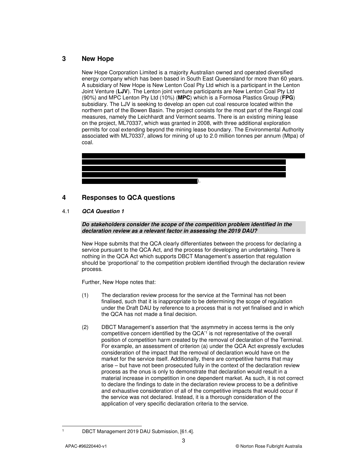# **3 New Hope**

New Hope Corporation Limited is a majority Australian owned and operated diversified energy company which has been based in South East Queensland for more than 60 years. A subsidiary of New Hope is New Lenton Coal Pty Ltd which is a participant in the Lenton Joint Venture (**LJV**). The Lenton joint venture participants are New Lenton Coal Pty Ltd (90%) and MPC Lenton Pty Ltd (10%) (**MPC**) which is a Formosa Plastics Group (**FPG**) subsidiary. The LJV is seeking to develop an open cut coal resource located within the northern part of the Bowen Basin. The project consists for the most part of the Rangal coal measures, namely the Leichhardt and Vermont seams. There is an existing mining lease on the project, ML70337, which was granted in 2008, with three additional exploration permits for coal extending beyond the mining lease boundary. The Environmental Authority associated with ML70337, allows for mining of up to 2.0 million tonnes per annum (Mtpa) of coal.



# **4 Responses to QCA questions**

### 4.1 *QCA Question 1*

*Do stakeholders consider the scope of the competition problem identified in the declaration review as a relevant factor in assessing the 2019 DAU?* 

New Hope submits that the QCA clearly differentiates between the process for declaring a service pursuant to the QCA Act, and the process for developing an undertaking. There is nothing in the QCA Act which supports DBCT Management's assertion that regulation should be 'proportional' to the competition problem identified through the declaration review process.

Further, New Hope notes that:

- (1) The declaration review process for the service at the Terminal has not been finalised, such that it is inappropriate to be determining the scope of regulation under the Draft DAU by reference to a process that is not yet finalised and in which the QCA has not made a final decision.
- (2) DBCT Management's assertion that 'the asymmetry in access terms is the only competitive concern identified by the QCA'<sup>1</sup> is not representative of the overall position of competition harm created by the removal of declaration of the Terminal. For example, an assessment of criterion (a) under the QCA Act expressly excludes consideration of the impact that the removal of declaration would have on the market for the service itself. Additionally, there are competitive harms that may arise – but have not been prosecuted fully in the context of the declaration review process as the onus is only to demonstrate that declaration would result in a material increase in competition in one dependent market. As such, it is not correct to declare the findings to date in the declaration review process to be a definitive and exhaustive consideration of all of the competitive impacts that would occur if the service was not declared. Instead, it is a thorough consideration of the application of very specific declaration criteria to the service.

1 1

DBCT Management 2019 DAU Submission, [61.4].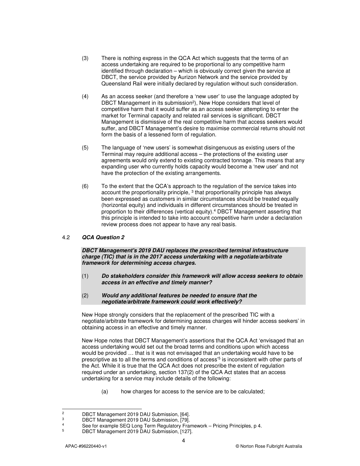- (3) There is nothing express in the QCA Act which suggests that the terms of an access undertaking are required to be proportional to any competitive harm identified through declaration – which is obviously correct given the service at DBCT, the service provided by Aurizon Network and the service provided by Queensland Rail were initially declared by regulation without such consideration.
- (4) As an access seeker (and therefore a 'new user' to use the language adopted by DBCT Management in its submission<sup>2</sup>), New Hope considers that level of competitive harm that it would suffer as an access seeker attempting to enter the market for Terminal capacity and related rail services is significant. DBCT Management is dismissive of the real competitive harm that access seekers would suffer, and DBCT Management's desire to maximise commercial returns should not form the basis of a lessened form of regulation.
- (5) The language of 'new users' is somewhat disingenuous as existing users of the Terminal may require additional access – the protections of the existing user agreements would only extend to existing contracted tonnage. This means that any expanding user who currently holds capacity would become a 'new user' and not have the protection of the existing arrangements.
- (6) To the extent that the QCA's approach to the regulation of the service takes into account the proportionality principle,  $3$  that proportionality principle has always been expressed as customers in similar circumstances should be treated equally (horizontal equity) and individuals in different circumstances should be treated in proportion to their differences (vertical equity).<sup>4</sup> DBCT Management asserting that this principle is intended to take into account competitive harm under a declaration review process does not appear to have any real basis.

#### 4.2 *QCA Question 2*

*DBCT Management's 2019 DAU replaces the prescribed terminal infrastructure charge (TIC) that is in the 2017 access undertaking with a negotiate/arbitrate framework for determining access charges.* 

- (1) *Do stakeholders consider this framework will allow access seekers to obtain access in an effective and timely manner?*
- (2) *Would any additional features be needed to ensure that the negotiate/arbitrate framework could work effectively?*

New Hope strongly considers that the replacement of the prescribed TIC with a negotiate/arbitrate framework for determining access charges will hinder access seekers' in obtaining access in an effective and timely manner.

New Hope notes that DBCT Management's assertions that the QCA Act 'envisaged that an access undertaking would set out the broad terms and conditions upon which access would be provided … that is it was not envisaged that an undertaking would have to be prescriptive as to all the terms and conditions of access'<sup>5</sup> is inconsistent with other parts of the Act. While it is true that the QCA Act does not prescribe the extent of regulation required under an undertaking, section 137(2) of the QCA Act states that an access undertaking for a service may include details of the following:

(a) how charges for access to the service are to be calculated;

 $\frac{1}{2}$ DBCT Management 2019 DAU Submission, [64].

<sup>3</sup> DBCT Management 2019 DAU Submission, [79].

<sup>4</sup> See for example SEQ Long Term Regulatory Framework – Pricing Principles, p 4.

<sup>5</sup> DBCT Management 2019 DAU Submission, [127].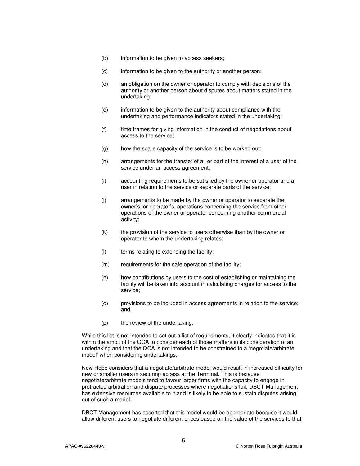- (b) information to be given to access seekers;
- (c) information to be given to the authority or another person;
- (d) an obligation on the owner or operator to comply with decisions of the authority or another person about disputes about matters stated in the undertaking;
- (e) information to be given to the authority about compliance with the undertaking and performance indicators stated in the undertaking;
- (f) time frames for giving information in the conduct of negotiations about access to the service;
- (g) how the spare capacity of the service is to be worked out;
- (h) arrangements for the transfer of all or part of the interest of a user of the service under an access agreement;
- (i) accounting requirements to be satisfied by the owner or operator and a user in relation to the service or separate parts of the service;
- (j) arrangements to be made by the owner or operator to separate the owner's, or operator's, operations concerning the service from other operations of the owner or operator concerning another commercial activity;
- (k) the provision of the service to users otherwise than by the owner or operator to whom the undertaking relates;
- (l) terms relating to extending the facility;
- (m) requirements for the safe operation of the facility;
- (n) how contributions by users to the cost of establishing or maintaining the facility will be taken into account in calculating charges for access to the service;
- (o) provisions to be included in access agreements in relation to the service; and
- (p) the review of the undertaking.

While this list is not intended to set out a list of requirements, it clearly indicates that it is within the ambit of the QCA to consider each of those matters in its consideration of an undertaking and that the QCA is not intended to be constrained to a 'negotiate/arbitrate model' when considering undertakings.

New Hope considers that a negotiate/arbitrate model would result in increased difficulty for new or smaller users in securing access at the Terminal. This is because negotiate/arbitrate models tend to favour larger firms with the capacity to engage in protracted arbitration and dispute processes where negotiations fail. DBCT Management has extensive resources available to it and is likely to be able to sustain disputes arising out of such a model.

DBCT Management has asserted that this model would be appropriate because it would allow different users to negotiate different prices based on the value of the services to that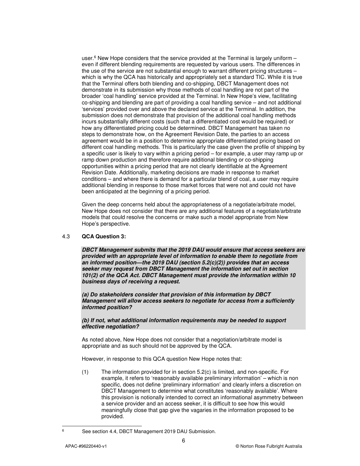user.<sup>6</sup> New Hope considers that the service provided at the Terminal is largely uniform even if different blending requirements are requested by various users. The differences in the use of the service are not substantial enough to warrant different pricing structures – which is why the QCA has historically and appropriately set a standard TIC. While it is true that the Terminal offers both blending and co-shipping, DBCT Management does not demonstrate in its submission why those methods of coal handling are not part of the broader 'coal handling' service provided at the Terminal. In New Hope's view, facilitating co-shipping and blending are part of providing a coal handling service – and not additional 'services' provided over and above the declared service at the Terminal. In addition, the submission does not demonstrate that provision of the additional coal handling methods incurs substantially different costs (such that a differentiated cost would be required) or how any differentiated pricing could be determined. DBCT Management has taken no steps to demonstrate how, on the Agreement Revision Date, the parties to an access agreement would be in a position to determine appropriate differentiated pricing based on different coal handling methods. This is particularly the case given the profile of shipping by a specific user is likely to vary within a pricing period – for example, a user may ramp up or ramp down production and therefore require additional blending or co-shipping opportunities within a pricing period that are not clearly identifiable at the Agreement Revision Date. Additionally, marketing decisions are made in response to market conditions – and where there is demand for a particular blend of coal, a user may require additional blending in response to those market forces that were not and could not have been anticipated at the beginning of a pricing period.

Given the deep concerns held about the appropriateness of a negotiate/arbitrate model, New Hope does not consider that there are any additional features of a negotiate/arbitrate models that could resolve the concerns or make such a model appropriate from New Hope's perspective.

#### 4.3 **QCA Question 3:**

*DBCT Management submits that the 2019 DAU would ensure that access seekers are provided with an appropriate level of information to enable them to negotiate from an informed position—the 2019 DAU (section 5.2(c)(2)) provides that an access seeker may request from DBCT Management the information set out in section 101(2) of the QCA Act. DBCT Management must provide the information within 10 business days of receiving a request.* 

*(a) Do stakeholders consider that provision of this information by DBCT Management will allow access seekers to negotiate for access from a sufficiently informed position?* 

*(b) If not, what additional information requirements may be needed to support effective negotiation?* 

As noted above, New Hope does not consider that a negotiation/arbitrate model is appropriate and as such should not be approved by the QCA.

However, in response to this QCA question New Hope notes that:

(1) The information provided for in section 5.2(c) is limited, and non-specific. For example, it refers to 'reasonably available preliminary information' – which is non specific, does not define 'preliminary information' and clearly infers a discretion on DBCT Management to determine what constitutes 'reasonably available'. Where this provision is notionally intended to correct an informational asymmetry between a service provider and an access seeker, it is difficult to see how this would meaningfully close that gap give the vagaries in the information proposed to be provided.

—<br>6

See section 4.4, DBCT Management 2019 DAU Submission.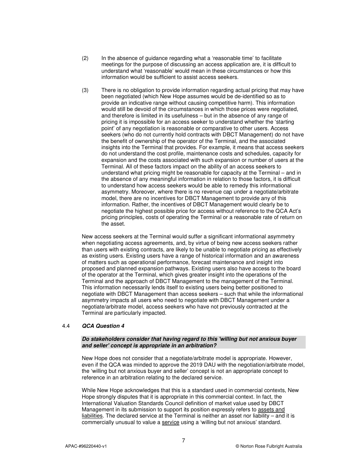- (2) In the absence of guidance regarding what a 'reasonable time' to facilitate meetings for the purpose of discussing an access application are, it is difficult to understand what 'reasonable' would mean in these circumstances or how this information would be sufficient to assist access seekers.
- (3) There is no obligation to provide information regarding actual pricing that may have been negotiated (which New Hope assumes would be de-identified so as to provide an indicative range without causing competitive harm). This information would still be devoid of the circumstances in which those prices were negotiated, and therefore is limited in its usefulness – but in the absence of any range of pricing it is impossible for an access seeker to understand whether the 'starting point' of any negotiation is reasonable or comparative to other users. Access seekers (who do not currently hold contracts with DBCT Management) do not have the benefit of ownership of the operator of the Terminal, and the associated insights into the Terminal that provides. For example, it means that access seekers do not understand the cost profile, maintenance costs and schedules, capacity for expansion and the costs associated with such expansion or number of users at the Terminal. All of these factors impact on the ability of an access seekers to understand what pricing might be reasonable for capacity at the Terminal – and in the absence of any meaningful information in relation to those factors, it is difficult to understand how access seekers would be able to remedy this informational asymmetry. Moreover, where there is no revenue cap under a negotiate/arbitrate model, there are no incentives for DBCT Management to provide any of this information. Rather, the incentives of DBCT Management would clearly be to negotiate the highest possible price for access without reference to the QCA Act's pricing principles, costs of operating the Terminal or a reasonable rate of return on the asset.

New access seekers at the Terminal would suffer a significant informational asymmetry when negotiating access agreements, and, by virtue of being new access seekers rather than users with existing contracts, are likely to be unable to negotiate pricing as effectively as existing users. Existing users have a range of historical information and an awareness of matters such as operational performance, forecast maintenance and insight into proposed and planned expansion pathways. Existing users also have access to the board of the operator at the Terminal, which gives greater insight into the operations of the Terminal and the approach of DBCT Management to the management of the Terminal. This information necessarily lends itself to existing users being better positioned to negotiate with DBCT Management than access seekers – such that while the informational asymmetry impacts all users who need to negotiate with DBCT Management under a negotiate/arbitrate model, access seekers who have not previously contracted at the Terminal are particularly impacted.

#### 4.4 *QCA Question 4*

#### *Do stakeholders consider that having regard to this 'willing but not anxious buyer and seller' concept is appropriate in an arbitration?*

New Hope does not consider that a negotiate/arbitrate model is appropriate. However, even if the QCA was minded to approve the 2019 DAU with the negotiation/arbitrate model, the 'willing but not anxious buyer and seller' concept is not an appropriate concept to reference in an arbitration relating to the declared service.

While New Hope acknowledges that this is a standard used in commercial contexts, New Hope strongly disputes that it is appropriate in this commercial context. In fact, the International Valuation Standards Council definition of market value used by DBCT Management in its submission to support its position expressly refers to assets and liabilities. The declared service at the Terminal is neither an asset nor liability – and it is commercially unusual to value a service using a 'willing but not anxious' standard.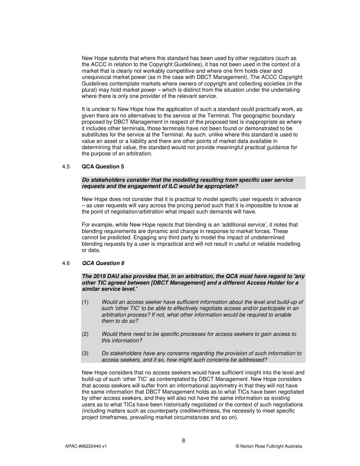New Hope submits that where this standard has been used by other regulators (such as the ACCC in relation to the Copyright Guidelines), it has not been used in the context of a market that is clearly not workably competitive and where one firm holds clear and unequivocal market power (as in the case with DBCT Management). The ACCC Copyright Guidelines contemplate markets where owners of copyright and collecting societies (in the plural) may hold market power – which is distinct from the situation under the undertaking where there is only one provider of the relevant service.

It is unclear to New Hope how the application of such a standard could practically work, as given there are no alternatives to the service at the Terminal. The geographic boundary proposed by DBCT Management in respect of the proposed test is inappropriate as where it includes other terminals, those terminals have not been found or demonstrated to be substitutes for the service at the Terminal. As such, unlike where this standard is used to value an asset or a liability and there are other points of market data available in determining that value, the standard would not provide meaningful practical guidance for the purpose of an arbitration.

#### 4.5 **QCA Question 5**

#### *Do stakeholders consider that the modelling resulting from specific user service requests and the engagement of ILC would be appropriate?*

New Hope does not consider that it is practical to model specific user requests in advance – as user requests will vary across the pricing period such that it is impossible to know at the point of negotiation/arbitration what impact such demands will have.

For example, while New Hope rejects that blending is an 'additional service', it notes that blending requirements are dynamic and change in response to market forces. These cannot be predicted. Engaging any third party to model the impact of undetermined blending requests by a user is impractical and will not result in useful or reliable modelling or data.

#### 4.6 *QCA Question 6*

#### *The 2019 DAU also provides that, in an arbitration, the QCA must have regard to 'any other TIC agreed between [DBCT Management] and a different Access Holder for a similar service level.'*

- (1) Would an access seeker have sufficient information about the level and build-up of such 'other TIC' to be able to effectively negotiate access and/or participate in an arbitration process? If not, what other information would be required to enable them to do so?
- (2) Would there need to be specific processes for access seekers to gain access to this information?
- (3) Do stakeholders have any concerns regarding the provision of such information to access seekers, and if so, how might such concerns be addressed?

New Hope considers that no access seekers would have sufficient insight into the level and build-up of such 'other TIC' as contemplated by DBCT Management. New Hope considers that access seekers will suffer from an informational asymmetry in that they will not have the same information that DBCT Management holds as to what TICs have been negotiated by other access seekers, and they will also not have the same information as existing users as to what TICs have been historically negotiated or the context of such negotiations (including matters such as counterparty creditworthiness, the necessity to meet specific project timeframes, prevailing market circumstances and so on).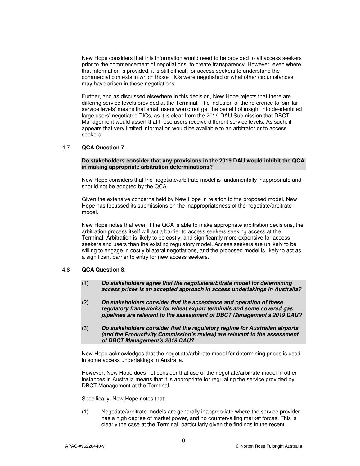New Hope considers that this information would need to be provided to all access seekers prior to the commencement of negotiations, to create transparency. However, even where that information is provided, it is still difficult for access seekers to understand the commercial contexts in which those TICs were negotiated or what other circumstances may have arisen in those negotiations.

Further, and as discussed elsewhere in this decision, New Hope rejects that there are differing service levels provided at the Terminal. The inclusion of the reference to 'similar service levels' means that small users would not get the benefit of insight into de-identified large users' negotiated TICs, as it is clear from the 2019 DAU Submission that DBCT Management would assert that those users receive different service levels. As such, it appears that very limited information would be available to an arbitrator or to access seekers.

#### 4.7 **QCA Question 7**

#### **Do stakeholders consider that any provisions in the 2019 DAU would inhibit the QCA in making appropriate arbitration determinations?**

New Hope considers that the negotiate/arbitrate model is fundamentally inappropriate and should not be adopted by the QCA.

Given the extensive concerns held by New Hope in relation to the proposed model, New Hope has focussed its submissions on the inappropriateness of the negotiate/arbitrate model.

New Hope notes that even if the QCA is able to make appropriate arbitration decisions, the arbitration process itself will act a barrier to access seekers seeking access at the Terminal. Arbitration is likely to be costly, and significantly more expensive for access seekers and users than the existing regulatory model. Access seekers are unlikely to be willing to engage in costly bilateral negotiations, and the proposed model is likely to act as a significant barrier to entry for new access seekers.

#### 4.8 **QCA Question 8**:

- (1) *Do stakeholders agree that the negotiate/arbitrate model for determining access prices is an accepted approach in access undertakings in Australia?*
- (2) *Do stakeholders consider that the acceptance and operation of these regulatory frameworks for wheat export terminals and some covered gas pipelines are relevant to the assessment of DBCT Management's 2019 DAU?*
- (3) *Do stakeholders consider that the regulatory regime for Australian airports (and the Productivity Commission's review) are relevant to the assessment of DBCT Management's 2019 DAU?*

New Hope acknowledges that the negotiate/arbitrate model for determining prices is used in some access undertakings in Australia.

However, New Hope does not consider that use of the negotiate/arbitrate model in other instances in Australia means that it is appropriate for regulating the service provided by DBCT Management at the Terminal.

Specifically, New Hope notes that:

(1) Negotiate/arbitrate models are generally inappropriate where the service provider has a high degree of market power, and no countervailing market forces. This is clearly the case at the Terminal, particularly given the findings in the recent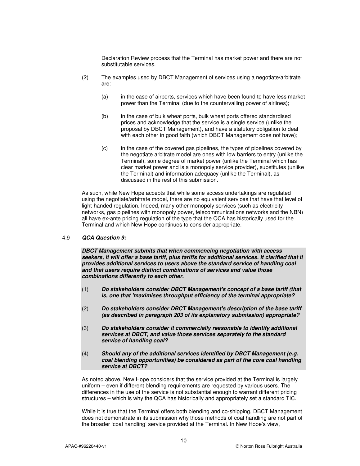Declaration Review process that the Terminal has market power and there are not substitutable services.

- (2) The examples used by DBCT Management of services using a negotiate/arbitrate are:
	- (a) in the case of airports, services which have been found to have less market power than the Terminal (due to the countervailing power of airlines);
	- (b) in the case of bulk wheat ports, bulk wheat ports offered standardised prices and acknowledge that the service is a single service (unlike the proposal by DBCT Management), and have a statutory obligation to deal with each other in good faith (which DBCT Management does not have);
	- (c) in the case of the covered gas pipelines, the types of pipelines covered by the negotiate arbitrate model are ones with low barriers to entry (unlike the Terminal), some degree of market power (unlike the Terminal which has clear market power and is a monopoly service provider), substitutes (unlike the Terminal) and information adequacy (unlike the Terminal), as discussed in the rest of this submission.

As such, while New Hope accepts that while some access undertakings are regulated using the negotiate/arbitrate model, there are no equivalent services that have that level of light-handed regulation. Indeed, many other monopoly services (such as electricity networks, gas pipelines with monopoly power, telecommunications networks and the NBN) all have ex-ante pricing regulation of the type that the QCA has historically used for the Terminal and which New Hope continues to consider appropriate.

#### 4.9 *QCA Question 9:*

*DBCT Management submits that when commencing negotiation with access seekers, it will offer a base tariff, plus tariffs for additional services. It clarified that it provides additional services to users above the standard service of handling coal and that users require distinct combinations of services and value those combinations differently to each other.* 

- (1) *Do stakeholders consider DBCT Management's concept of a base tariff (that is, one that 'maximises throughput efficiency of the terminal appropriate?*
- (2) *Do stakeholders consider DBCT Management's description of the base tariff (as described in paragraph 203 of its explanatory submission) appropriate?*
- (3) *Do stakeholders consider it commercially reasonable to identify additional services at DBCT, and value those services separately to the standard service of handling coal?*
- (4) *Should any of the additional services identified by DBCT Management (e.g. coal blending opportunities) be considered as part of the core coal handling service at DBCT?*

As noted above, New Hope considers that the service provided at the Terminal is largely uniform – even if different blending requirements are requested by various users. The differences in the use of the service is not substantial enough to warrant different pricing structures – which is why the QCA has historically and appropriately set a standard TIC.

While it is true that the Terminal offers both blending and co-shipping, DBCT Management does not demonstrate in its submission why those methods of coal handling are not part of the broader 'coal handling' service provided at the Terminal. In New Hope's view,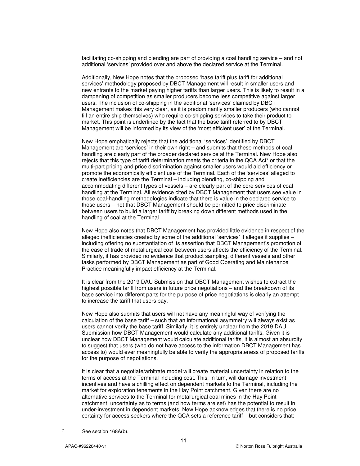facilitating co-shipping and blending are part of providing a coal handling service – and not additional 'services' provided over and above the declared service at the Terminal.

Additionally, New Hope notes that the proposed 'base tariff plus tariff for additional services' methodology proposed by DBCT Management will result in smaller users and new entrants to the market paying higher tariffs than larger users. This is likely to result in a dampening of competition as smaller producers become less competitive against larger users. The inclusion of co-shipping in the additional 'services' claimed by DBCT Management makes this very clear, as it is predominantly smaller producers (who cannot fill an entire ship themselves) who require co-shipping services to take their product to market. This point is underlined by the fact that the base tariff referred to by DBCT Management will be informed by its view of the 'most efficient user' of the Terminal.

New Hope emphatically rejects that the additional 'services' identified by DBCT Management are 'services' in their own right – and submits that these methods of coal handling are clearly part of the broader declared service at the Terminal. New Hope also rejects that this type of tariff determination meets the criteria in the QCA Act<sup>7</sup> or that the multi-part pricing and price discrimination against smaller users would aid efficiency or promote the economically efficient use of the Terminal. Each of the 'services' alleged to create inefficiencies are the Terminal – including blending, co-shipping and accommodating different types of vessels – are clearly part of the core services of coal handling at the Terminal. All evidence cited by DBCT Management that users see value in those coal-handling methodologies indicate that there is value in the declared service to those users – not that DBCT Management should be permitted to price discriminate between users to build a larger tariff by breaking down different methods used in the handling of coal at the Terminal.

New Hope also notes that DBCT Management has provided little evidence in respect of the alleged inefficiencies created by some of the additional 'services' it alleges it supplies – including offering no substantiation of its assertion that DBCT Management's promotion of the ease of trade of metallurgical coal between users affects the efficiency of the Terminal. Similarly, it has provided no evidence that product sampling, different vessels and other tasks performed by DBCT Management as part of Good Operating and Maintenance Practice meaningfully impact efficiency at the Terminal.

It is clear from the 2019 DAU Submission that DBCT Management wishes to extract the highest possible tariff from users in future price negotiations – and the breakdown of its base service into different parts for the purpose of price negotiations is clearly an attempt to increase the tariff that users pay.

New Hope also submits that users will not have any meaningful way of verifying the calculation of the base tariff – such that an informational asymmetry will always exist as users cannot verify the base tariff. Similarly, it is entirely unclear from the 2019 DAU Submission how DBCT Management would calculate any additional tariffs. Given it is unclear how DBCT Management would calculate additional tariffs, it is almost an absurdity to suggest that users (who do not have access to the information DBCT Management has access to) would ever meaningfully be able to verify the appropriateness of proposed tariffs for the purpose of negotiations.

It is clear that a negotiate/arbitrate model will create material uncertainty in relation to the terms of access at the Terminal including cost. This, in turn, will damage investment incentives and have a chilling effect on dependent markets to the Terminal, including the market for exploration tenements in the Hay Point catchment. Given there are no alternative services to the Terminal for metallurgical coal mines in the Hay Point catchment, uncertainty as to terms (and how terms are set) has the potential to result in under-investment in dependent markets. New Hope acknowledges that there is no price certainty for access seekers where the QCA sets a reference tariff – but considers that:

-<br>7

See section 168A(b).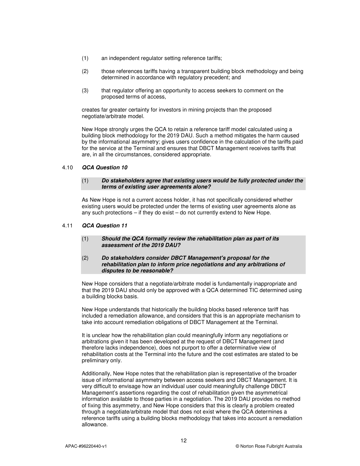- (1) an independent regulator setting reference tariffs;
- (2) those references tariffs having a transparent building block methodology and being determined in accordance with regulatory precedent; and
- (3) that regulator offering an opportunity to access seekers to comment on the proposed terms of access,

creates far greater certainty for investors in mining projects than the proposed negotiate/arbitrate model.

New Hope strongly urges the QCA to retain a reference tariff model calculated using a building block methodology for the 2019 DAU. Such a method mitigates the harm caused by the informational asymmetry; gives users confidence in the calculation of the tariffs paid for the service at the Terminal and ensures that DBCT Management receives tariffs that are, in all the circumstances, considered appropriate.

#### 4.10 *QCA Question 10*

#### (1) *Do stakeholders agree that existing users would be fully protected under the terms of existing user agreements alone?*

As New Hope is not a current access holder, it has not specifically considered whether existing users would be protected under the terms of existing user agreements alone as any such protections – if they do exist – do not currently extend to New Hope.

#### 4.11 *QCA Question 11*

- (1) *Should the QCA formally review the rehabilitation plan as part of its assessment of the 2019 DAU?*
- (2) *Do stakeholders consider DBCT Management's proposal for the rehabilitation plan to inform price negotiations and any arbitrations of disputes to be reasonable?*

New Hope considers that a negotiate/arbitrate model is fundamentally inappropriate and that the 2019 DAU should only be approved with a QCA determined TIC determined using a building blocks basis.

New Hope understands that historically the building blocks based reference tariff has included a remediation allowance, and considers that this is an appropriate mechanism to take into account remediation obligations of DBCT Management at the Terminal.

It is unclear how the rehabilitation plan could meaningfully inform any negotiations or arbitrations given it has been developed at the request of DBCT Management (and therefore lacks independence), does not purport to offer a determinative view of rehabilitation costs at the Terminal into the future and the cost estimates are stated to be preliminary only.

Additionally, New Hope notes that the rehabilitation plan is representative of the broader issue of informational asymmetry between access seekers and DBCT Management. It is very difficult to envisage how an individual user could meaningfully challenge DBCT Management's assertions regarding the cost of rehabilitation given the asymmetrical information available to those parties in a negotiation. The 2019 DAU provides no method of fixing this asymmetry, and New Hope considers that this is clearly a problem created through a negotiate/arbitrate model that does not exist where the QCA determines a reference tariffs using a building blocks methodology that takes into account a remediation allowance.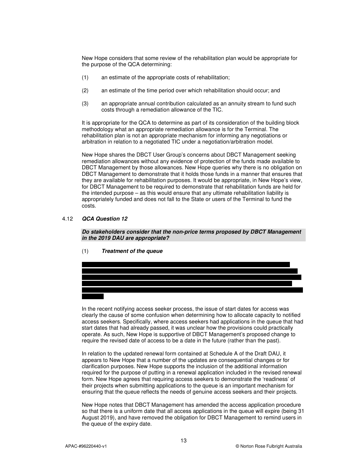New Hope considers that some review of the rehabilitation plan would be appropriate for the purpose of the QCA determining:

- (1) an estimate of the appropriate costs of rehabilitation;
- (2) an estimate of the time period over which rehabilitation should occur; and
- (3) an appropriate annual contribution calculated as an annuity stream to fund such costs through a remediation allowance of the TIC.

It is appropriate for the QCA to determine as part of its consideration of the building block methodology what an appropriate remediation allowance is for the Terminal. The rehabilitation plan is not an appropriate mechanism for informing any negotiations or arbitration in relation to a negotiated TIC under a negotiation/arbitration model.

New Hope shares the DBCT User Group's concerns about DBCT Management seeking remediation allowances without any evidence of protection of the funds made available to DBCT Management by those allowances. New Hope queries why there is no obligation on DBCT Management to demonstrate that it holds those funds in a manner that ensures that they are available for rehabilitation purposes. It would be appropriate, in New Hope's view, for DBCT Management to be required to demonstrate that rehabilitation funds are held for the intended purpose – as this would ensure that any ultimate rehabilitation liability is appropriately funded and does not fall to the State or users of the Terminal to fund the costs.

#### 4.12 *QCA Question 12*

*Do stakeholders consider that the non-price terms proposed by DBCT Management in the 2019 DAU are appropriate?* 

(1) *Treatment of the queue* 



In the recent notifying access seeker process, the issue of start dates for access was clearly the cause of some confusion when determining how to allocate capacity to notified access seekers. Specifically, where access seekers had applications in the queue that had start dates that had already passed, it was unclear how the provisions could practically operate. As such, New Hope is supportive of DBCT Management's proposed change to require the revised date of access to be a date in the future (rather than the past).

In relation to the updated renewal form contained at Schedule A of the Draft DAU, it appears to New Hope that a number of the updates are consequential changes or for clarification purposes. New Hope supports the inclusion of the additional information required for the purpose of putting in a renewal application included in the revised renewal form. New Hope agrees that requiring access seekers to demonstrate the 'readiness' of their projects when submitting applications to the queue is an important mechanism for ensuring that the queue reflects the needs of genuine access seekers and their projects.

New Hope notes that DBCT Management has amended the access application procedure so that there is a uniform date that all access applications in the queue will expire (being 31 August 2019), and have removed the obligation for DBCT Management to remind users in the queue of the expiry date.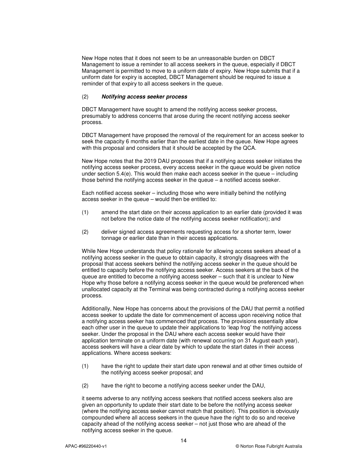New Hope notes that it does not seem to be an unreasonable burden on DBCT Management to issue a reminder to all access seekers in the queue, especially if DBCT Management is permitted to move to a uniform date of expiry. New Hope submits that if a uniform date for expiry is accepted, DBCT Management should be required to issue a reminder of that expiry to all access seekers in the queue.

#### (2) *Notifying access seeker process*

DBCT Management have sought to amend the notifying access seeker process, presumably to address concerns that arose during the recent notifying access seeker process.

DBCT Management have proposed the removal of the requirement for an access seeker to seek the capacity 6 months earlier than the earliest date in the queue. New Hope agrees with this proposal and considers that it should be accepted by the QCA.

New Hope notes that the 2019 DAU proposes that if a notifying access seeker initiates the notifying access seeker process, every access seeker in the queue would be given notice under section 5.4(e). This would then make each access seeker in the queue – including those behind the notifying access seeker in the queue – a notified access seeker.

Each notified access seeker – including those who were initially behind the notifying access seeker in the queue – would then be entitled to:

- (1) amend the start date on their access application to an earlier date (provided it was not before the notice date of the notifying access seeker notification); and
- (2) deliver signed access agreements requesting access for a shorter term, lower tonnage or earlier date than in their access applications.

While New Hope understands that policy rationale for allowing access seekers ahead of a notifying access seeker in the queue to obtain capacity, it strongly disagrees with the proposal that access seekers behind the notifying access seeker in the queue should be entitled to capacity before the notifying access seeker. Access seekers at the back of the queue are entitled to become a notifying access seeker – such that it is unclear to New Hope why those before a notifying access seeker in the queue would be preferenced when unallocated capacity at the Terminal was being contracted during a notifying access seeker process.

Additionally, New Hope has concerns about the provisions of the DAU that permit a notified access seeker to update the date for commencement of access upon receiving notice that a notifying access seeker has commenced that process. The provisions essentially allow each other user in the queue to update their applications to 'leap frog' the notifying access seeker. Under the proposal in the DAU where each access seeker would have their application terminate on a uniform date (with renewal occurring on 31 August each year), access seekers will have a clear date by which to update the start dates in their access applications. Where access seekers:

- (1) have the right to update their start date upon renewal and at other times outside of the notifying access seeker proposal; and
- (2) have the right to become a notifying access seeker under the DAU,

it seems adverse to any notifying access seekers that notified access seekers also are given an opportunity to update their start date to be before the notifying access seeker (where the notifying access seeker cannot match that position). This position is obviously compounded where all access seekers in the queue have the right to do so and receive capacity ahead of the notifying access seeker – not just those who are ahead of the notifying access seeker in the queue.